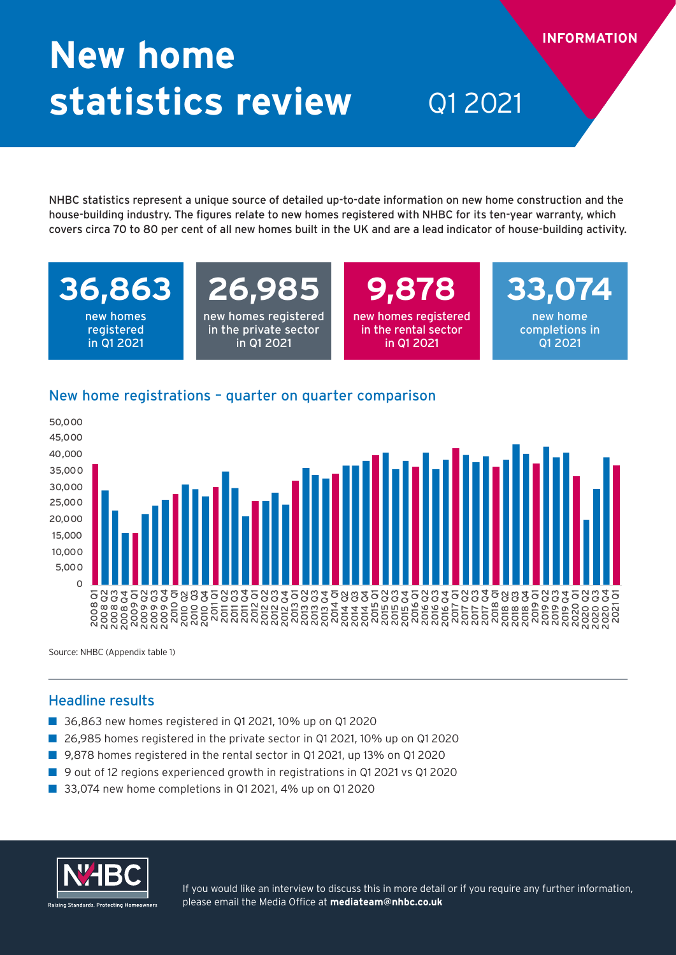# **New home statistics review** Q1 2021

NHBC statistics represent a unique source of detailed up-to-date information on new home construction and the house-building industry. The figures relate to new homes registered with NHBC for its ten-year warranty, which covers circa 70 to 80 per cent of all new homes built in the UK and are a lead indicator of house-building activity.

## **36,863**

new homes registered in Q1 2021

### **26,985** new homes registered

in the private sector in Q1 2021

**9,878**  new homes registered in the rental sector in Q1 2021

**33,074** new home completions in Q1 2021

**INFORMATION**

### New home registrations – quarter on quarter comparison



Source: NHBC (Appendix table 1)

### Headline results

- 36,863 new homes registered in Q1 2021, 10% up on Q1 2020
- 26,985 homes registered in the private sector in Q1 2021, 10% up on Q1 2020
- 9,878 homes registered in the rental sector in Q1 2021, up 13% on Q1 2020
- 9 out of 12 regions experienced growth in registrations in Q1 2021 vs Q1 2020
- 33,074 new home completions in Q1 2021, 4% up on Q1 2020



If you would like an interview to discuss this in more detail or if you require any further information, please email the Media Office at **mediateam@nhbc.co.uk**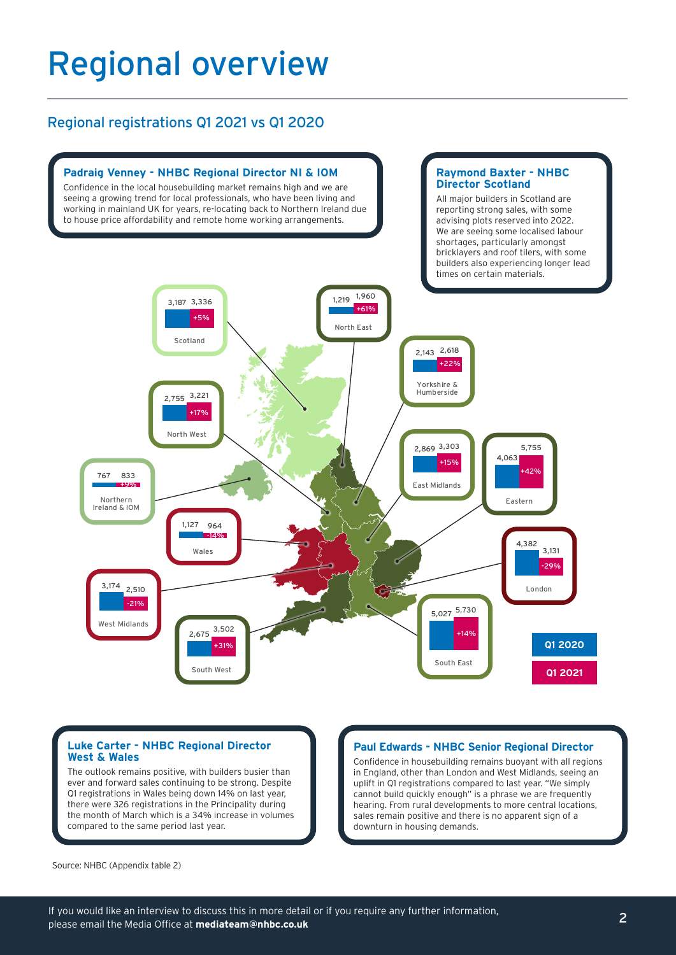### Regional overview

### Regional registrations Q1 2021 vs Q1 2020



#### **Luke Carter - NHBC Regional Director West & Wales**

The outlook remains positive, with builders busier than ever and forward sales continuing to be strong. Despite Q1 registrations in Wales being down 14% on last year, there were 326 registrations in the Principality during the month of March which is a 34% increase in volumes compared to the same period last year.

#### **Paul Edwards - NHBC Senior Regional Director**

Confidence in housebuilding remains buoyant with all regions in England, other than London and West Midlands, seeing an uplift in Q1 registrations compared to last year. "We simply cannot build quickly enough" is a phrase we are frequently hearing. From rural developments to more central locations, sales remain positive and there is no apparent sign of a downturn in housing demands.

Source: NHBC (Appendix table 2)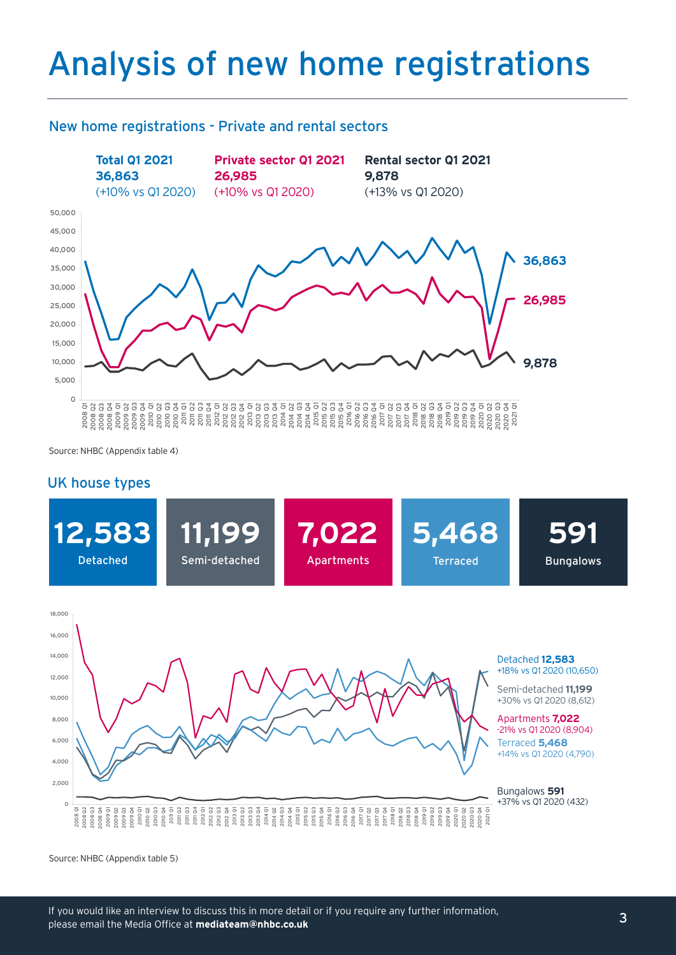## Analysis of new home registrations

#### New home registrations - Private and rental sectors



Source: NHBC (Appendix table 4)

#### UK house types



Source: NHBC (Appendix table 5)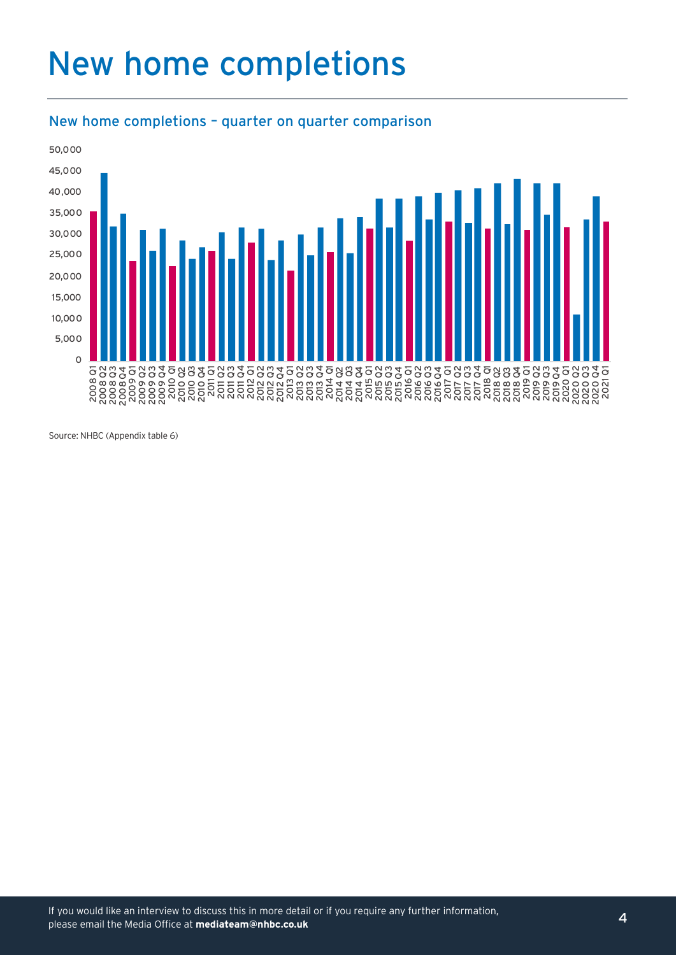## New home completions



### New home completions – quarter on quarter comparison

Source: NHBC (Appendix table 6)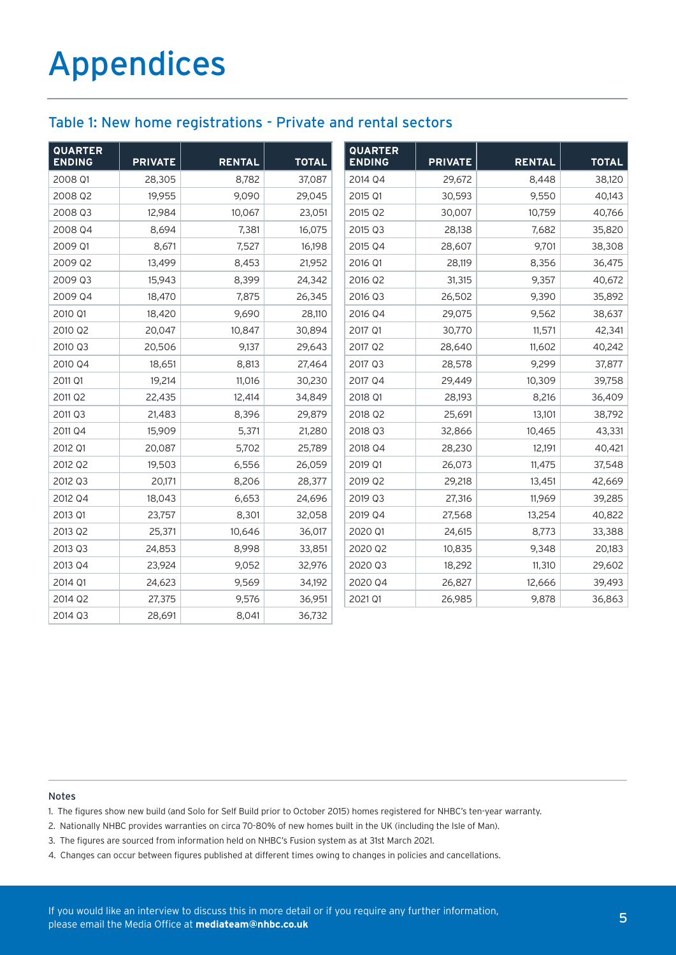### Table 1: New home registrations - Private and rental sectors

| <b>QUARTER</b><br><b>ENDING</b> | <b>PRIVATE</b> | <b>RENTAL</b> | <b>TOTAL</b> | <b>QUARTER</b><br><b>ENDING</b> | <b>PRIVATE</b> | <b>RENTAL</b> | <b>TOTAL</b> |
|---------------------------------|----------------|---------------|--------------|---------------------------------|----------------|---------------|--------------|
| 2008 Q1                         | 28,305         | 8,782         | 37,087       | 2014 Q4                         | 29,672         | 8,448         | 38,120       |
| 2008 Q2                         | 19,955         | 9,090         | 29,045       | 2015 Q1                         | 30,593         | 9,550         | 40,143       |
| 2008 Q3                         | 12,984         | 10,067        | 23,051       | 2015 Q2                         | 30,007         | 10,759        | 40,766       |
| 2008 Q4                         | 8,694          | 7,381         | 16,075       | 2015 Q3                         | 28,138         | 7,682         | 35,820       |
| 2009 Q1                         | 8,671          | 7,527         | 16,198       | 2015 Q4                         | 28,607         | 9,701         | 38,308       |
| 2009 Q2                         | 13,499         | 8,453         | 21,952       | 2016 Q1                         | 28,119         | 8,356         | 36,475       |
| 2009 Q3                         | 15,943         | 8,399         | 24,342       | 2016 Q2                         | 31,315         | 9,357         | 40,672       |
| 2009 Q4                         | 18,470         | 7,875         | 26,345       | 2016 Q3                         | 26,502         | 9,390         | 35,892       |
| 2010 Q1                         | 18,420         | 9,690         | 28,110       | 2016 Q4                         | 29,075         | 9,562         | 38,637       |
| 2010 Q2                         | 20,047         | 10,847        | 30,894       | 2017 Q1                         | 30,770         | 11,571        | 42,341       |
| 2010 Q3                         | 20,506         | 9,137         | 29,643       | 2017 Q2                         | 28,640         | 11,602        | 40,242       |
| 2010 Q4                         | 18,651         | 8,813         | 27,464       | 2017 Q3                         | 28,578         | 9,299         | 37,877       |
| 2011 Q1                         | 19,214         | 11,016        | 30,230       | 2017 Q4                         | 29,449         | 10,309        | 39,758       |
| 2011 Q2                         | 22,435         | 12,414        | 34,849       | 2018 Q1                         | 28,193         | 8,216         | 36,409       |
| 2011 Q3                         | 21,483         | 8,396         | 29,879       | 2018 Q2                         | 25,691         | 13,101        | 38,792       |
| 2011 Q4                         | 15,909         | 5,371         | 21,280       | 2018 Q3                         | 32,866         | 10,465        | 43,331       |
| 2012 Q1                         | 20,087         | 5,702         | 25,789       | 2018 Q4                         | 28,230         | 12,191        | 40,421       |
| 2012 Q2                         | 19,503         | 6,556         | 26,059       | 2019 Q1                         | 26,073         | 11,475        | 37,548       |
| 2012 Q3                         | 20,171         | 8,206         | 28,377       | 2019 Q2                         | 29,218         | 13,451        | 42,669       |
| 2012 Q4                         | 18,043         | 6,653         | 24,696       | 2019 Q3                         | 27,316         | 11,969        | 39,285       |
| 2013 Q1                         | 23,757         | 8,301         | 32,058       | 2019 Q4                         | 27,568         | 13,254        | 40,822       |
| 2013 Q2                         | 25,371         | 10,646        | 36,017       | 2020 Q1                         | 24,615         | 8,773         | 33,388       |
| 2013 Q3                         | 24,853         | 8,998         | 33,851       | 2020 Q2                         | 10,835         | 9,348         | 20,183       |
| 2013 Q4                         | 23,924         | 9,052         | 32,976       | 2020 Q3                         | 18,292         | 11,310        | 29,602       |
| 2014 Q1                         | 24,623         | 9,569         | 34,192       | 2020 Q4                         | 26,827         | 12,666        | 39,493       |
| 2014 Q2                         | 27,375         | 9,576         | 36,951       | 2021 Q1                         | 26,985         | 9,878         | 36,863       |
| 2014 Q3                         | 28,691         | 8,041         | 36,732       |                                 |                |               |              |

#### Notes

1. The figures show new build (and Solo for Self Build prior to October 2015) homes registered for NHBC's ten-year warranty.

2. Nationally NHBC provides warranties on circa 70-80% of new homes built in the UK (including the Isle of Man).

3. The figures are sourced from information held on NHBC's Fusion system as at 31st March 2021.

4. Changes can occur between figures published at different times owing to changes in policies and cancellations.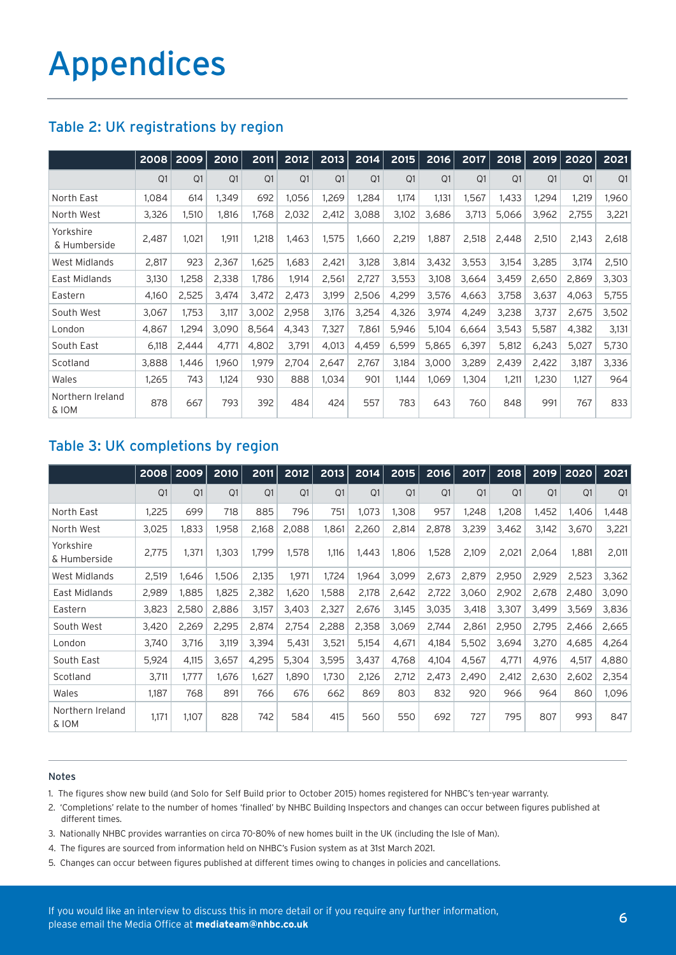| Table 2: UK registrations by region |  |
|-------------------------------------|--|
|-------------------------------------|--|

|                           | 2008  | 2009  | 2010  | 2011  | 2012  | 2013  | 2014  | 2015  | 2016  | 2017  | 2018  | 2019           | 2020  | 2021  |
|---------------------------|-------|-------|-------|-------|-------|-------|-------|-------|-------|-------|-------|----------------|-------|-------|
|                           | Q1    | Q1    | Q1    | Q1    | Q1    | Q1    | Q1    | Q1    | Q1    | Q1    | Q1    | Q <sub>1</sub> | Q1    | Q1    |
| North East                | 1,084 | 614   | 1,349 | 692   | 1,056 | 1,269 | 1,284 | 1.174 | 1,131 | 1,567 | 1,433 | 1,294          | 1,219 | 1,960 |
| North West                | 3,326 | 1,510 | 1,816 | 1,768 | 2,032 | 2,412 | 3,088 | 3,102 | 3,686 | 3,713 | 5,066 | 3,962          | 2,755 | 3,221 |
| Yorkshire<br>& Humberside | 2,487 | 1,021 | 1,911 | 1,218 | 1,463 | 1,575 | 1,660 | 2,219 | 1,887 | 2,518 | 2,448 | 2,510          | 2,143 | 2,618 |
| West Midlands             | 2,817 | 923   | 2,367 | 1,625 | 1,683 | 2,421 | 3,128 | 3,814 | 3,432 | 3,553 | 3,154 | 3,285          | 3,174 | 2,510 |
| East Midlands             | 3,130 | 1,258 | 2,338 | 1,786 | 1,914 | 2,561 | 2,727 | 3,553 | 3,108 | 3,664 | 3,459 | 2,650          | 2,869 | 3,303 |
| Eastern                   | 4,160 | 2,525 | 3,474 | 3,472 | 2,473 | 3,199 | 2,506 | 4,299 | 3,576 | 4,663 | 3,758 | 3,637          | 4,063 | 5,755 |
| South West                | 3,067 | 1,753 | 3,117 | 3,002 | 2,958 | 3,176 | 3,254 | 4,326 | 3,974 | 4,249 | 3,238 | 3,737          | 2,675 | 3,502 |
| London                    | 4,867 | 1,294 | 3,090 | 8,564 | 4,343 | 7,327 | 7,861 | 5,946 | 5,104 | 6,664 | 3,543 | 5,587          | 4,382 | 3,131 |
| South East                | 6,118 | 2,444 | 4,771 | 4,802 | 3,791 | 4,013 | 4,459 | 6,599 | 5,865 | 6,397 | 5,812 | 6,243          | 5,027 | 5,730 |
| Scotland                  | 3,888 | 1,446 | 1,960 | 1,979 | 2,704 | 2,647 | 2,767 | 3,184 | 3,000 | 3,289 | 2,439 | 2,422          | 3,187 | 3,336 |
| Wales                     | 1,265 | 743   | 1,124 | 930   | 888   | 1,034 | 901   | 1,144 | 1,069 | 1,304 | 1,211 | 1,230          | 1,127 | 964   |
| Northern Ireland<br>& IOM | 878   | 667   | 793   | 392   | 484   | 424   | 557   | 783   | 643   | 760   | 848   | 991            | 767   | 833   |

### Table 3: UK completions by region

|                           | 2008  | 2009  | 2010  | 2011  | 2012  | 2013  | 2014  | 2015  | 2016  | 2017  | 2018  | 2019  | 2020           | 2021  |
|---------------------------|-------|-------|-------|-------|-------|-------|-------|-------|-------|-------|-------|-------|----------------|-------|
|                           | Q1    | Q1    | Q1    | Q1    | Q1    | Q1    | Q1    | Q1    | Q1    | Q1    | Q1    | Q1    | O <sub>1</sub> | Q1    |
| North East                | 1,225 | 699   | 718   | 885   | 796   | 751   | 1,073 | 1,308 | 957   | 1,248 | 1,208 | 1,452 | 1,406          | 1,448 |
| North West                | 3,025 | 1,833 | 1,958 | 2,168 | 2,088 | 1,861 | 2,260 | 2,814 | 2,878 | 3,239 | 3,462 | 3,142 | 3,670          | 3,221 |
| Yorkshire<br>& Humberside | 2,775 | 1,371 | 1,303 | 1.799 | 1,578 | 1,116 | 1,443 | 1,806 | 1,528 | 2,109 | 2,021 | 2,064 | 1,881          | 2,011 |
| West Midlands             | 2,519 | 1,646 | 1,506 | 2,135 | 1,971 | 1,724 | 1,964 | 3,099 | 2,673 | 2,879 | 2,950 | 2,929 | 2,523          | 3,362 |
| East Midlands             | 2,989 | 1.885 | 1,825 | 2,382 | 1,620 | 1,588 | 2,178 | 2,642 | 2,722 | 3,060 | 2,902 | 2,678 | 2,480          | 3,090 |
| Eastern                   | 3,823 | 2,580 | 2,886 | 3,157 | 3,403 | 2,327 | 2,676 | 3,145 | 3,035 | 3,418 | 3,307 | 3,499 | 3,569          | 3,836 |
| South West                | 3,420 | 2,269 | 2,295 | 2,874 | 2,754 | 2,288 | 2,358 | 3,069 | 2,744 | 2,861 | 2,950 | 2,795 | 2,466          | 2,665 |
| London                    | 3,740 | 3,716 | 3,119 | 3,394 | 5,431 | 3,521 | 5,154 | 4,671 | 4,184 | 5,502 | 3,694 | 3,270 | 4,685          | 4,264 |
| South East                | 5,924 | 4,115 | 3,657 | 4,295 | 5,304 | 3,595 | 3,437 | 4,768 | 4,104 | 4,567 | 4,771 | 4,976 | 4,517          | 4,880 |
| Scotland                  | 3,711 | 1,777 | 1,676 | 1,627 | 1,890 | 1,730 | 2,126 | 2,712 | 2,473 | 2,490 | 2,412 | 2,630 | 2,602          | 2,354 |
| Wales                     | 1,187 | 768   | 891   | 766   | 676   | 662   | 869   | 803   | 832   | 920   | 966   | 964   | 860            | 1,096 |
| Northern Ireland<br>& IOM | 1,171 | 1.107 | 828   | 742   | 584   | 415   | 560   | 550   | 692   | 727   | 795   | 807   | 993            | 847   |

#### Notes

- 1. The figures show new build (and Solo for Self Build prior to October 2015) homes registered for NHBC's ten-year warranty.
- 2. 'Completions' relate to the number of homes 'finalled' by NHBC Building Inspectors and changes can occur between figures published at different times.
- 3. Nationally NHBC provides warranties on circa 70-80% of new homes built in the UK (including the Isle of Man).
- 4. The figures are sourced from information held on NHBC's Fusion system as at 31st March 2021.
- 5. Changes can occur between figures published at different times owing to changes in policies and cancellations.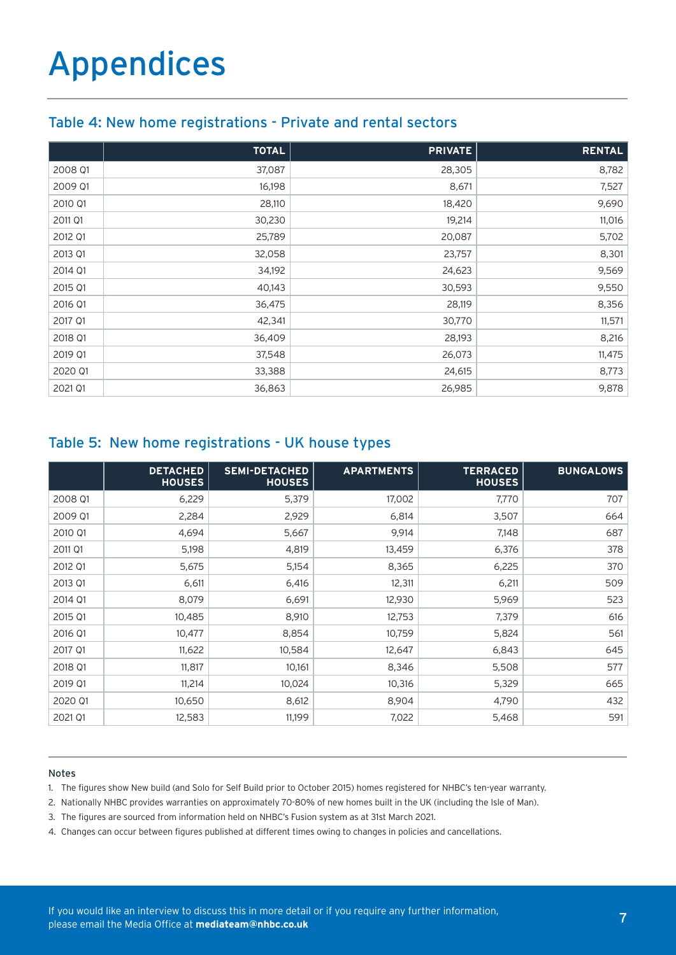### Table 4: New home registrations - Private and rental sectors

|         | <b>TOTAL</b> | <b>PRIVATE</b> | <b>RENTAL</b> |
|---------|--------------|----------------|---------------|
| 2008 Q1 | 37,087       | 28,305         | 8,782         |
| 2009 Q1 | 16,198       | 8,671          | 7,527         |
| 2010 Q1 | 28,110       | 18,420         | 9,690         |
| 2011 Q1 | 30,230       | 19,214         | 11,016        |
| 2012 Q1 | 25,789       | 20,087         | 5,702         |
| 2013 Q1 | 32,058       | 23,757         | 8,301         |
| 2014 Q1 | 34,192       | 24,623         | 9,569         |
| 2015 Q1 | 40,143       | 30,593         | 9,550         |
| 2016 Q1 | 36,475       | 28,119         | 8,356         |
| 2017 Q1 | 42,341       | 30,770         | 11,571        |
| 2018 Q1 | 36,409       | 28,193         | 8,216         |
| 2019 Q1 | 37,548       | 26,073         | 11,475        |
| 2020 Q1 | 33,388       | 24,615         | 8,773         |
| 2021 Q1 | 36,863       | 26,985         | 9,878         |

### Table 5: New home registrations - UK house types

|         | <b>DETACHED</b><br><b>HOUSES</b> | <b>SEMI-DETACHED</b><br><b>HOUSES</b> | <b>APARTMENTS</b> | <b>TERRACED</b><br><b>HOUSES</b> | <b>BUNGALOWS</b> |
|---------|----------------------------------|---------------------------------------|-------------------|----------------------------------|------------------|
| 2008 Q1 | 6,229                            | 5,379                                 | 17,002            | 7,770                            | 707              |
| 2009 Q1 | 2,284                            | 2,929                                 | 6,814             | 3,507                            | 664              |
| 2010 Q1 | 4,694                            | 5,667                                 | 9,914             | 7,148                            | 687              |
| 2011 Q1 | 5,198                            | 4,819                                 | 13,459            | 6,376                            | 378              |
| 2012 Q1 | 5,675                            | 5,154                                 | 8,365             | 6,225                            | 370              |
| 2013 Q1 | 6,611                            | 6,416                                 | 12,311            | 6,211                            | 509              |
| 2014 Q1 | 8,079                            | 6,691                                 | 12,930            | 5,969                            | 523              |
| 2015 Q1 | 10,485                           | 8,910                                 | 12,753            | 7,379                            | 616              |
| 2016 Q1 | 10,477                           | 8,854                                 | 10,759            | 5,824                            | 561              |
| 2017 Q1 | 11,622                           | 10,584                                | 12,647            | 6,843                            | 645              |
| 2018 Q1 | 11,817                           | 10,161                                | 8,346             | 5,508                            | 577              |
| 2019 Q1 | 11,214                           | 10,024                                | 10,316            | 5,329                            | 665              |
| 2020 Q1 | 10,650                           | 8,612                                 | 8,904             | 4,790                            | 432              |
| 2021 Q1 | 12,583                           | 11,199                                | 7,022             | 5,468                            | 591              |

#### Notes

1. The figures show New build (and Solo for Self Build prior to October 2015) homes registered for NHBC's ten-year warranty.

2. Nationally NHBC provides warranties on approximately 70-80% of new homes built in the UK (including the Isle of Man).

- 3. The figures are sourced from information held on NHBC's Fusion system as at 31st March 2021.
- 4. Changes can occur between figures published at different times owing to changes in policies and cancellations.